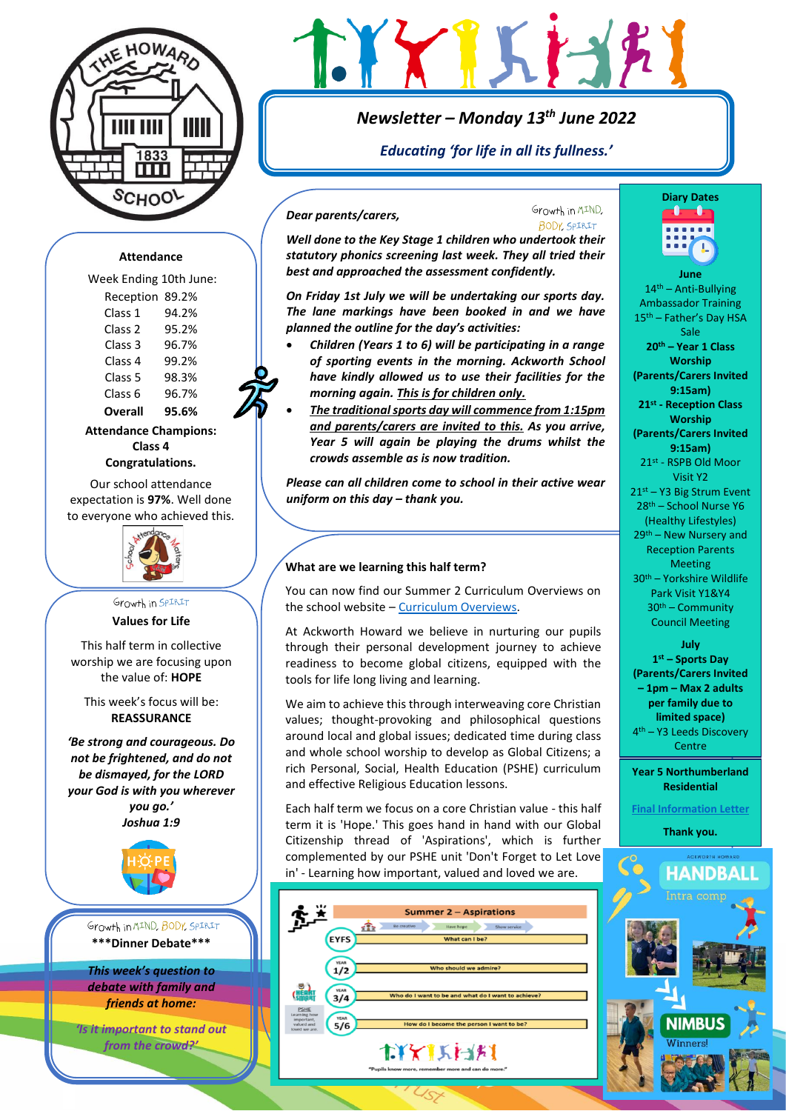

# *Newsletter – Monday 13th June 2022*

# *Educating 'for life in all its fullness.'*

Growth in MIND.

### *Dear parents/carers,*

BODY SPIRIT *Well done to the Key Stage 1 children who undertook their statutory phonics screening last week. They all tried their best and approached the assessment confidently.* 

*On Friday 1st July we will be undertaking our sports day. The lane markings have been booked in and we have planned the outline for the day's activities:*

- *Children (Years 1 to 6) will be participating in a range of sporting events in the morning. Ackworth School have kindly allowed us to use their facilities for the morning again. This is for children only.*
- *The traditional sports day will commence from 1:15pm and parents/carers are invited to this. As you arrive, Year 5 will again be playing the drums whilst the crowds assemble as is now tradition.*

*Please can all children come to school in their active wear uniform on this day – thank you.*

### **What are we learning this half term?**

You can now find our Summer 2 Curriculum Overviews on the school website – [Curriculum Overviews.](https://www.ackworthhowardschool.co.uk/sites/default/files/uploads/media/files/what-are-we-learning-this-half-term.-sum-2-2022.pdf)

At Ackworth Howard we believe in nurturing our pupils through their personal development journey to achieve readiness to become global citizens, equipped with the tools for life long living and learning.

We aim to achieve this through interweaving core Christian values; thought-provoking and philosophical questions around local and global issues; dedicated time during class and whole school worship to develop as Global Citizens; a rich Personal, Social, Health Education (PSHE) curriculum and effective Religious Education lessons.

Each half term we focus on a core Christian value - this half term it is 'Hope.' This goes hand in hand with our Global Citizenship thread of 'Aspirations', which is further complemented by our PSHE unit 'Don't Forget to Let Love in' - Learning how important, valued and loved we are.





**June**   $14<sup>th</sup>$  – Anti-Bullying Ambassador Training 15th – Father's Day HSA Sale **20th – Year 1 Class Worship (Parents/Carers Invited 9:15am) 21st - Reception Class Worship (Parents/Carers Invited 9:15am)** 21st - RSPB Old Moor Visit Y2 21st – Y3 Big Strum Event 28th – School Nurse Y6 (Healthy Lifestyles) 29th – New Nursery and Reception Parents Meeting 30th – Yorkshire Wildlife Park Visit Y1&Y4 30th – Community Council Meeting

**July 1 st – Sports Day (Parents/Carers Invited – 1pm – Max 2 adults per family due to limited space)** 4 th – Y3 Leeds Discovery Centre

**Year 5 Northumberland Residential** 

**[Final Information Letter](https://www.ackworthhowardschool.co.uk/letters-parents-carers/2022/northumberland-residential)**

**Thank you.**



### **Attendance**

Week Ending 10th June: Reception 89.2% Class 1 94.2% Class 2 95.2% Class 3 96.7% Class 4 99.2% Class 5 98.3%

Class 6 96.7% **Overall 95.6%**

**Attendance Champions: Class 4 Congratulations.**

Our school attendance expectation is **97%**. Well done to everyone who achieved this.



### Growth in SPIRIT **Values for Life**

This half term in collective worship we are focusing upon the value of: **HOPE**

This week's focus will be: **REASSURANCE**

*'Be strong and courageous. Do not be frightened, and do not be dismayed, for the LORD your God is with you wherever you go.' Joshua 1:9*



Growth in MIND, BODY, SPIRIT **\*\*\*Dinner Debate\*\*\***

*This week's question to debate with family and friends at home:* 

*'Is it important to stand out from the crowd?'*